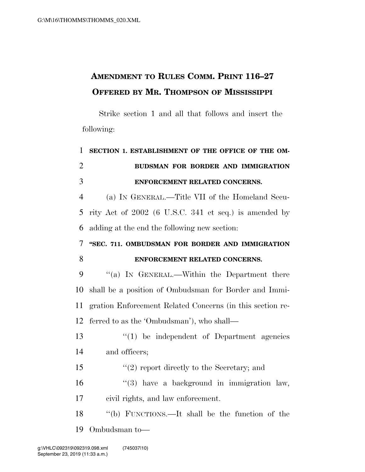## **AMENDMENT TO RULES COMM. PRINT 116–27 OFFERED BY MR. THOMPSON OF MISSISSIPPI**

Strike section 1 and all that follows and insert the following:

## **SECTION 1. ESTABLISHMENT OF THE OFFICE OF THE OM- BUDSMAN FOR BORDER AND IMMIGRATION ENFORCEMENT RELATED CONCERNS.**

 (a) IN GENERAL.—Title VII of the Homeland Secu- rity Act of 2002 (6 U.S.C. 341 et seq.) is amended by adding at the end the following new section:

## **''SEC. 711. OMBUDSMAN FOR BORDER AND IMMIGRATION ENFORCEMENT RELATED CONCERNS.**

9 "(a) In GENERAL.—Within the Department there shall be a position of Ombudsman for Border and Immi- gration Enforcement Related Concerns (in this section re-ferred to as the 'Ombudsman'), who shall—

- ''(1) be independent of Department agencies and officers;
- ''(2) report directly to the Secretary; and

 ''(3) have a background in immigration law, civil rights, and law enforcement.

 ''(b) FUNCTIONS.—It shall be the function of the Ombudsman to—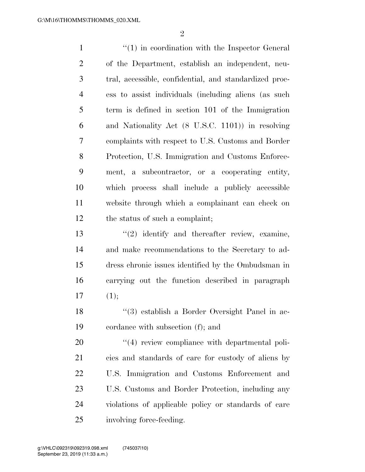1 ''(1) in coordination with the Inspector General of the Department, establish an independent, neu- tral, accessible, confidential, and standardized proc- ess to assist individuals (including aliens (as such term is defined in section 101 of the Immigration and Nationality Act (8 U.S.C. 1101)) in resolving complaints with respect to U.S. Customs and Border Protection, U.S. Immigration and Customs Enforce- ment, a subcontractor, or a cooperating entity, which process shall include a publicly accessible website through which a complainant can check on the status of such a complaint; 13 ''(2) identify and thereafter review, examine, and make recommendations to the Secretary to ad- dress chronic issues identified by the Ombudsman in carrying out the function described in paragraph  $(1);$  ''(3) establish a Border Oversight Panel in ac-cordance with subsection (f); and

 $\frac{1}{4}$  review compliance with departmental poli- cies and standards of care for custody of aliens by U.S. Immigration and Customs Enforcement and U.S. Customs and Border Protection, including any violations of applicable policy or standards of care involving force-feeding.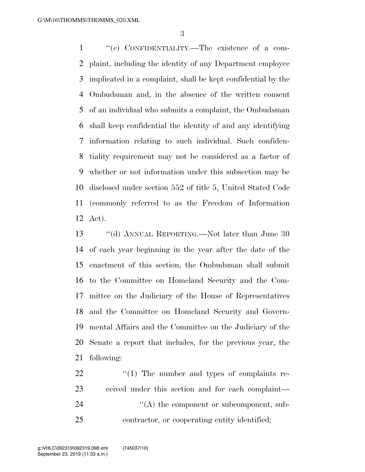''(c) CONFIDENTIALITY.—The existence of a com- plaint, including the identity of any Department employee implicated in a complaint, shall be kept confidential by the Ombudsman and, in the absence of the written consent of an individual who submits a complaint, the Ombudsman shall keep confidential the identity of and any identifying information relating to such individual. Such confiden- tiality requirement may not be considered as a factor of whether or not information under this subsection may be disclosed under section 552 of title 5, United Stated Code (commonly referred to as the Freedom of Information Act).

 ''(d) ANNUAL REPORTING.—Not later than June 30 of each year beginning in the year after the date of the enactment of this section, the Ombudsman shall submit to the Committee on Homeland Security and the Com- mittee on the Judiciary of the House of Representatives and the Committee on Homeland Security and Govern- mental Affairs and the Committee on the Judiciary of the Senate a report that includes, for the previous year, the following:

  $\cdots$   $(1)$  The number and types of complaints re- ceived under this section and for each complaint—  $\langle (A)$  the component or subcomponent, sub-contractor, or cooperating entity identified;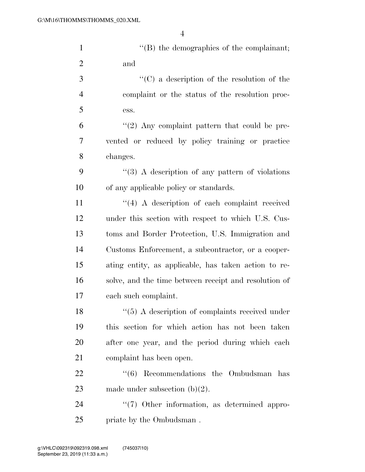| $\mathbf{1}$   | $\lq\lq$ the demographics of the complainant;         |
|----------------|-------------------------------------------------------|
| $\overline{2}$ | and                                                   |
| 3              | $\lq\lq$ (C) a description of the resolution of the   |
| $\overline{4}$ | complaint or the status of the resolution proc-       |
| 5              | ess.                                                  |
| 6              | $\lq(2)$ Any complaint pattern that could be pre-     |
| 7              | vented or reduced by policy training or practice      |
| 8              | changes.                                              |
| 9              | $\lq(3)$ A description of any pattern of violations   |
| 10             | of any applicable policy or standards.                |
| 11             | $\lq(4)$ A description of each complaint received     |
| 12             | under this section with respect to which U.S. Cus-    |
| 13             | toms and Border Protection, U.S. Immigration and      |
| 14             | Customs Enforcement, a subcontractor, or a cooper-    |
| 15             | ating entity, as applicable, has taken action to re-  |
| 16             | solve, and the time between receipt and resolution of |
| 17             | each such complaint.                                  |
| 18             | $\lq(5)$ A description of complaints received under   |
| 19             | this section for which action has not been taken      |
| 20             | after one year, and the period during which each      |
| 21             | complaint has been open.                              |
| 22             | $(6)$ Recommendations the Ombudsman<br>has            |
| 23             | made under subsection $(b)(2)$ .                      |
| 24             | $\lq(7)$ Other information, as determined appro-      |
| 25             | priate by the Ombudsman.                              |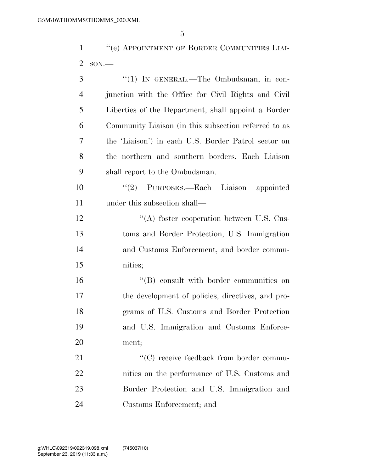''(e) APPOINTMENT OF BORDER COMMUNITIES LIAI-SON.—

| 3              | "(1) IN GENERAL.—The Ombudsman, in con-              |
|----------------|------------------------------------------------------|
| $\overline{4}$ | junction with the Office for Civil Rights and Civil  |
| 5              | Liberties of the Department, shall appoint a Border  |
| 6              | Community Liaison (in this subsection referred to as |
| 7              | the 'Liaison') in each U.S. Border Patrol sector on  |
| 8              | the northern and southern borders. Each Liaison      |
| 9              | shall report to the Ombudsman.                       |
| 10             | "(2) PURPOSES.—Each Liaison appointed                |
| 11             | under this subsection shall—                         |
| 12             | $\cdot$ (A) foster cooperation between U.S. Cus-     |
| 13             | toms and Border Protection, U.S. Immigration         |
| 14             | and Customs Enforcement, and border commu-           |
| 15             | nities;                                              |
| 16             | "(B) consult with border communities on              |
| 17             | the development of policies, directives, and pro-    |
| 18             | grams of U.S. Customs and Border Protection          |
| 19             | and U.S. Immigration and Customs Enforce-            |
| 20             | ment;                                                |
| 21             | "(C) receive feedback from border commu-             |
| 22             | nities on the performance of U.S. Customs and        |
| 23             | Border Protection and U.S. Immigration and           |
| 24             | Customs Enforcement; and                             |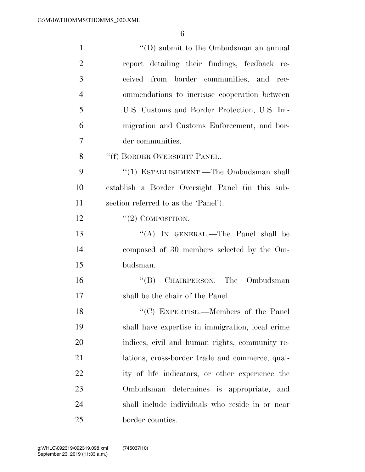| $\mathbf{1}$   | $\lq\lq$ submit to the Ombudsman an annual       |
|----------------|--------------------------------------------------|
| $\overline{2}$ | report detailing their findings, feedback re-    |
| 3              | ceived from border communities, and rec-         |
| $\overline{4}$ | ommendations to increase cooperation between     |
| 5              | U.S. Customs and Border Protection, U.S. Im-     |
| 6              | migration and Customs Enforcement, and bor-      |
| $\overline{7}$ | der communities.                                 |
| 8              | "(f) BORDER OVERSIGHT PANEL.—                    |
| 9              | "(1) ESTABLISHMENT.—The Ombudsman shall          |
| 10             | establish a Border Oversight Panel (in this sub- |
| 11             | section referred to as the 'Panel').             |
| 12             | $``(2)$ COMPOSITION.—                            |
| 13             | "(A) IN GENERAL.—The Panel shall be              |
| 14             | composed of 30 members selected by the Om-       |
| 15             | budsman.                                         |
| 16             | "(B) CHAIRPERSON.—The Ombudsman                  |
| 17             | shall be the chair of the Panel.                 |
| 18             | "(C) EXPERTISE.—Members of the Panel             |
| 19             | shall have expertise in immigration, local crime |
| 20             | indices, civil and human rights, community re-   |
| 21             | lations, cross-border trade and commerce, qual-  |
| 22             | ity of life indicators, or other experience the  |
| 23             | Ombudsman determines is appropriate, and         |
| 24             | shall include individuals who reside in or near  |
| 25             | border counties.                                 |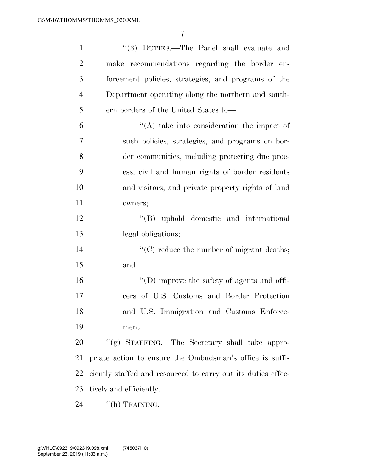| $\mathbf{1}$   | "(3) DUTIES.—The Panel shall evaluate and                    |
|----------------|--------------------------------------------------------------|
| $\overline{2}$ | make recommendations regarding the border en-                |
| 3              | forcement policies, strategies, and programs of the          |
| $\overline{4}$ | Department operating along the northern and south-           |
| 5              | ern borders of the United States to-                         |
| 6              | $\lq\lq$ take into consideration the impact of               |
| 7              | such policies, strategies, and programs on bor-              |
| 8              | der communities, including protecting due proc-              |
| 9              | ess, civil and human rights of border residents              |
| 10             | and visitors, and private property rights of land            |
| 11             | owners;                                                      |
| 12             | "(B) uphold domestic and international                       |
| 13             | legal obligations;                                           |
| 14             | $\lq\lq$ reduce the number of migrant deaths;                |
| 15             | and                                                          |
| 16             | "(D) improve the safety of agents and offi-                  |
| 17             | cers of U.S. Customs and Border Protection                   |
| 18             | and U.S. Immigration and Customs Enforce-                    |
| 19             | ment.                                                        |
| 20             | "(g) STAFFING.—The Secretary shall take appro-               |
| 21             | priate action to ensure the Ombudsman's office is suffi-     |
| 22             | ciently staffed and resourced to carry out its duties effec- |
| 23             | tively and efficiently.                                      |
| 24             | $\lq\lq(h)$ TRAINING.—                                       |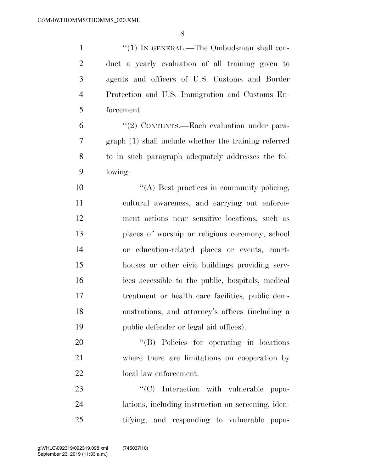1 "(1) IN GENERAL.—The Ombudsman shall con- duct a yearly evaluation of all training given to agents and officers of U.S. Customs and Border Protection and U.S. Immigration and Customs En- forcement. ''(2) CONTENTS.—Each evaluation under para-

 graph (1) shall include whether the training referred to in such paragraph adequately addresses the fol-lowing:

 $\langle (A)$  Best practices in community policing, cultural awareness, and carrying out enforce- ment actions near sensitive locations, such as places of worship or religious ceremony, school or education-related places or events, court- houses or other civic buildings providing serv- ices accessible to the public, hospitals, medical treatment or health care facilities, public dem- onstrations, and attorney's offices (including a public defender or legal aid offices).

20 "'(B) Policies for operating in locations where there are limitations on cooperation by local law enforcement.

23  $\text{``(C)}$  Interaction with vulnerable popu- lations, including instruction on screening, iden-tifying, and responding to vulnerable popu-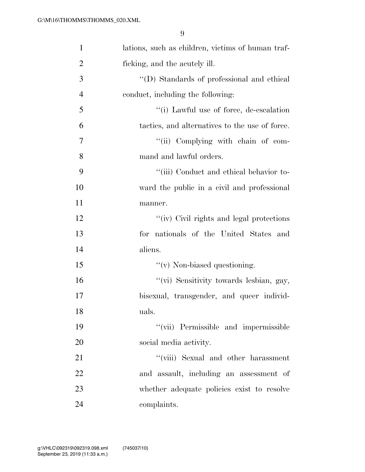| $\mathbf{1}$   | lations, such as children, victims of human traf- |
|----------------|---------------------------------------------------|
| $\overline{2}$ | ficking, and the acutely ill.                     |
| 3              | "(D) Standards of professional and ethical        |
| $\overline{4}$ | conduct, including the following:                 |
| 5              | "(i) Lawful use of force, de-escalation           |
| 6              | tactics, and alternatives to the use of force.    |
| 7              | "(ii) Complying with chain of com-                |
| 8              | mand and lawful orders.                           |
| 9              | "(iii) Conduct and ethical behavior to-           |
| 10             | ward the public in a civil and professional       |
| 11             | manner.                                           |
| 12             | "(iv) Civil rights and legal protections          |
| 13             | for nationals of the United States and            |
| 14             | aliens.                                           |
| 15             | $\lq\lq$ (v) Non-biased questioning.              |
| 16             | "(vi) Sensitivity towards lesbian, gay,           |
| 17             | bisexual, transgender, and queer individ-         |
| 18             | uals.                                             |
| 19             | "(vii) Permissible and impermissible              |
| 20             | social media activity.                            |
| 21             | "(viii) Sexual and other harassment               |
| 22             | and assault, including an assessment of           |
| 23             | whether adequate policies exist to resolve        |
| 24             | complaints.                                       |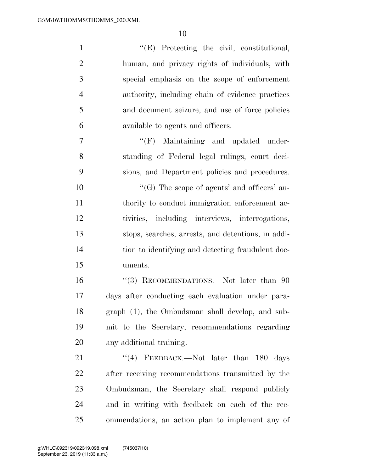| $\mathbf{1}$   | "(E) Protecting the civil, constitutional,         |
|----------------|----------------------------------------------------|
| $\overline{2}$ | human, and privacy rights of individuals, with     |
| 3              | special emphasis on the scope of enforcement       |
| $\overline{4}$ | authority, including chain of evidence practices   |
| 5              | and document seizure, and use of force policies    |
| 6              | available to agents and officers.                  |
| $\overline{7}$ | $\lq\lq(F)$ Maintaining and updated under-         |
| 8              | standing of Federal legal rulings, court deci-     |
| 9              | sions, and Department policies and procedures.     |
| 10             | " $(G)$ The scope of agents' and officers' au-     |
| 11             | thority to conduct immigration enforcement ac-     |
| 12             | tivities, including interviews, interrogations,    |
| 13             | stops, searches, arrests, and detentions, in addi- |
| 14             | tion to identifying and detecting fraudulent doc-  |
| 15             | uments.                                            |
| 16             | "(3) RECOMMENDATIONS.—Not later than $90$          |
| 17             | days after conducting each evaluation under para-  |
| 18             | graph (1), the Ombudsman shall develop, and sub-   |
| 19             | mit to the Secretary, recommendations regarding    |
| 20             | any additional training.                           |
| 21             | "(4) FEEDBACK.—Not later than $180$ days           |
| 22             | after receiving recommendations transmitted by the |
| 23             | Ombudsman, the Secretary shall respond publicly    |
| 24             | and in writing with feedback on each of the rec-   |
| 25             | ommendations, an action plan to implement any of   |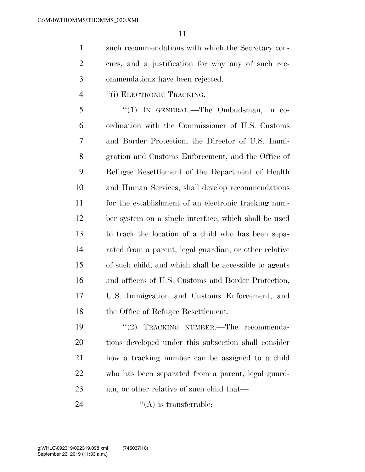such recommendations with which the Secretary con- curs, and a justification for why any of such rec-ommendations have been rejected.

4 "(i) ELECTRONIC TRACKING.—

 ''(1) IN GENERAL.—The Ombudsman, in co- ordination with the Commissioner of U.S. Customs and Border Protection, the Director of U.S. Immi- gration and Customs Enforcement, and the Office of Refugee Resettlement of the Department of Health and Human Services, shall develop recommendations for the establishment of an electronic tracking num- ber system on a single interface, which shall be used to track the location of a child who has been sepa- rated from a parent, legal guardian, or other relative of such child, and which shall be accessible to agents and officers of U.S. Customs and Border Protection, U.S. Immigration and Customs Enforcement, and the Office of Refugee Resettlement.

19 "(2) TRACKING NUMBER.—The recommenda- tions developed under this subsection shall consider how a tracking number can be assigned to a child who has been separated from a parent, legal guard-ian, or other relative of such child that—

24  $"({\rm A})$  is transferrable;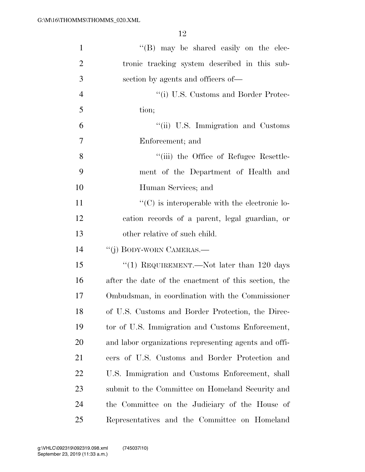| $\mathbf{1}$   | $\lq\lq (B)$ may be shared easily on the elec-        |
|----------------|-------------------------------------------------------|
| $\overline{2}$ | tronic tracking system described in this sub-         |
| 3              | section by agents and officers of—                    |
| $\overline{4}$ | "(i) U.S. Customs and Border Protec-                  |
| 5              | tion;                                                 |
| 6              | "(ii) U.S. Immigration and Customs                    |
| 7              | Enforcement; and                                      |
| 8              | "(iii) the Office of Refugee Resettle-                |
| 9              | ment of the Department of Health and                  |
| 10             | Human Services; and                                   |
| 11             | $\lq\lq$ (C) is interoperable with the electronic lo- |
| 12             | cation records of a parent, legal guardian, or        |
| 13             | other relative of such child.                         |
| 14             | "(j) BODY-WORN CAMERAS.—                              |
| 15             | "(1) REQUIREMENT.—Not later than 120 days             |
| 16             | after the date of the enactment of this section, the  |
| 17             | Ombudsman, in coordination with the Commissioner      |
| 18             | of U.S. Customs and Border Protection, the Direc-     |
| 19             | tor of U.S. Immigration and Customs Enforcement,      |
| 20             | and labor organizations representing agents and offi- |
| 21             | cers of U.S. Customs and Border Protection and        |
| <u>22</u>      | U.S. Immigration and Customs Enforcement, shall       |
| 23             | submit to the Committee on Homeland Security and      |
| 24             | the Committee on the Judiciary of the House of        |
| 25             | Representatives and the Committee on Homeland         |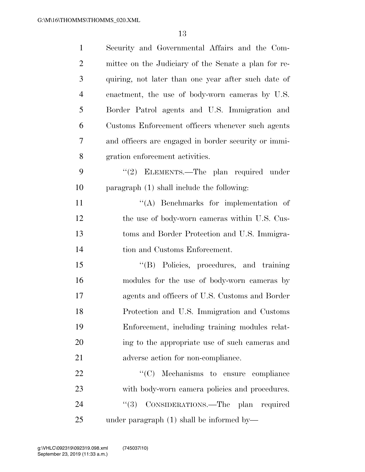| $\mathbf{1}$   | Security and Governmental Affairs and the Com-       |
|----------------|------------------------------------------------------|
| $\overline{2}$ | mittee on the Judiciary of the Senate a plan for re- |
| 3              | quiring, not later than one year after such date of  |
| $\overline{4}$ | enactment, the use of body-worn cameras by U.S.      |
| 5              | Border Patrol agents and U.S. Immigration and        |
| 6              | Customs Enforcement officers whenever such agents    |
| 7              | and officers are engaged in border security or immi- |
| 8              | gration enforcement activities.                      |
| 9              | "(2) ELEMENTS.—The plan required under               |
| 10             | paragraph (1) shall include the following:           |
| 11             | $\lq\lq$ . Benchmarks for implementation of          |
| 12             | the use of body-worn cameras within U.S. Cus-        |
| 13             | toms and Border Protection and U.S. Immigra-         |
| 14             | tion and Customs Enforcement.                        |
| 15             | "(B) Policies, procedures, and training              |
| 16             | modules for the use of body-worn cameras by          |
| 17             | agents and officers of U.S. Customs and Border       |
| 18             | Protection and U.S. Immigration and Customs          |
| 19             | Enforcement, including training modules relat-       |
| 20             | ing to the appropriate use of such cameras and       |
| 21             | adverse action for non-compliance.                   |
| 22             | $\lq\lq$ (C) Mechanisms to ensure compliance         |
| 23             | with body-worn camera policies and procedures.       |
| 24             | CONSIDERATIONS.—The plan required<br>(3)             |
| 25             | under paragraph $(1)$ shall be informed by—          |